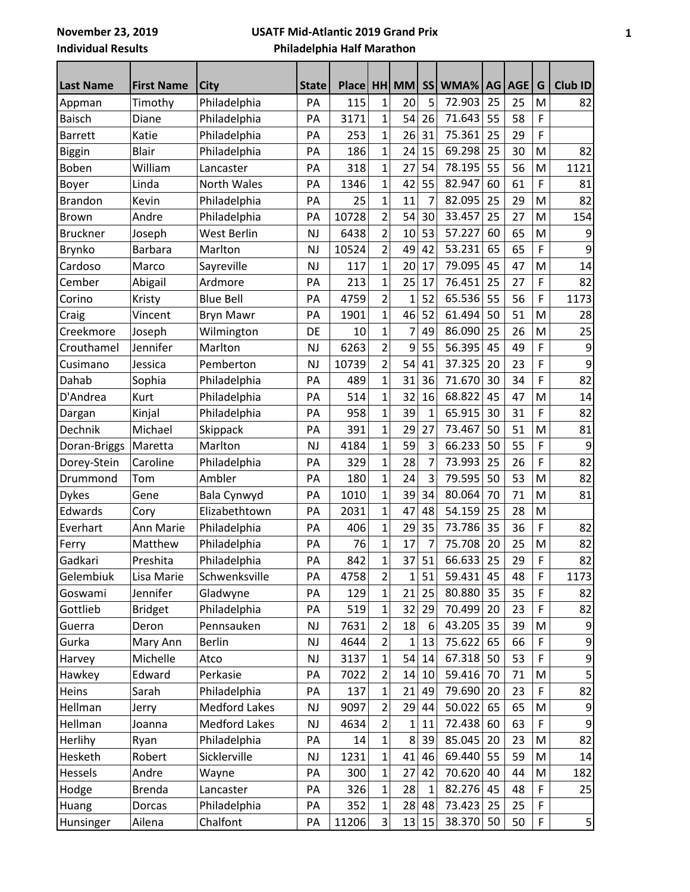## **USATF Mid-Atlantic 2019 Grand Prix Philadelphia Half Marathon**

| <b>Last Name</b> | <b>First Name</b> | <b>City</b>          | <b>State</b> | Place HH |                | <b>MM</b>    | <b>SS</b>    | WMA%   | AG | AGE | G           | Club ID  |
|------------------|-------------------|----------------------|--------------|----------|----------------|--------------|--------------|--------|----|-----|-------------|----------|
| Appman           | Timothy           | Philadelphia         | PA           | 115      | 1              | 20           | 5            | 72.903 | 25 | 25  | M           | 82       |
| <b>Baisch</b>    | Diane             | Philadelphia         | PA           | 3171     | $\overline{1}$ | 54           | 26           | 71.643 | 55 | 58  | F           |          |
| <b>Barrett</b>   | Katie             | Philadelphia         | PA           | 253      | $\mathbf{1}$   | 26           | 31           | 75.361 | 25 | 29  | F           |          |
| Biggin           | <b>Blair</b>      | Philadelphia         | PA           | 186      | $\overline{1}$ | 24           | 15           | 69.298 | 25 | 30  | M           | 82       |
| Boben            | William           | Lancaster            | PA           | 318      | $\mathbf{1}$   | 27           | 54           | 78.195 | 55 | 56  | M           | 1121     |
| Boyer            | Linda             | North Wales          | PA           | 1346     | $\overline{1}$ | 42           | 55           | 82.947 | 60 | 61  | F           | 81       |
| <b>Brandon</b>   | Kevin             | Philadelphia         | PA           | 25       | $\mathbf{1}$   | 11           | 7            | 82.095 | 25 | 29  | M           | 82       |
| <b>Brown</b>     | Andre             | Philadelphia         | PA           | 10728    | $\overline{2}$ | 54           | 30           | 33.457 | 25 | 27  | M           | 154      |
| <b>Bruckner</b>  | Joseph            | West Berlin          | <b>NJ</b>    | 6438     | $\overline{2}$ | 10           | 53           | 57.227 | 60 | 65  | M           | 9        |
| Brynko           | <b>Barbara</b>    | Marlton              | <b>NJ</b>    | 10524    | $\overline{2}$ | 49           | 42           | 53.231 | 65 | 65  | F           | 9        |
| Cardoso          | Marco             | Sayreville           | <b>NJ</b>    | 117      | $\mathbf{1}$   | 20           | 17           | 79.095 | 45 | 47  | M           | 14       |
| Cember           | Abigail           | Ardmore              | PA           | 213      | $\mathbf{1}$   | 25           | 17           | 76.451 | 25 | 27  | F           | 82       |
| Corino           | Kristy            | <b>Blue Bell</b>     | PA           | 4759     | $\overline{2}$ | $\mathbf{1}$ | 52           | 65.536 | 55 | 56  | F           | 1173     |
| Craig            | Vincent           | <b>Bryn Mawr</b>     | PA           | 1901     | $\overline{1}$ | 46           | 52           | 61.494 | 50 | 51  | M           | 28       |
| Creekmore        | Joseph            | Wilmington           | DE           | 10       | $\mathbf{1}$   | 7            | 49           | 86.090 | 25 | 26  | M           | 25       |
| Crouthamel       | Jennifer          | Marlton              | <b>NJ</b>    | 6263     | $\overline{2}$ | 9            | 55           | 56.395 | 45 | 49  | F           | 9        |
| Cusimano         | Jessica           | Pemberton            | <b>NJ</b>    | 10739    | $\overline{2}$ | 54           | 41           | 37.325 | 20 | 23  | F           | 9        |
| Dahab            | Sophia            | Philadelphia         | PA           | 489      | $\overline{1}$ | 31           | 36           | 71.670 | 30 | 34  | F           | 82       |
| D'Andrea         | Kurt              | Philadelphia         | PA           | 514      | $\mathbf{1}$   | 32           | 16           | 68.822 | 45 | 47  | M           | 14       |
| Dargan           | Kinjal            | Philadelphia         | PA           | 958      | $\overline{1}$ | 39           | $\mathbf{1}$ | 65.915 | 30 | 31  | F           | 82       |
| Dechnik          | Michael           | Skippack             | PA           | 391      | $\overline{1}$ | 29           | 27           | 73.467 | 50 | 51  | M           | 81       |
| Doran-Briggs     | Maretta           | Marlton              | <b>NJ</b>    | 4184     | $\overline{1}$ | 59           | 3            | 66.233 | 50 | 55  | F           | 9        |
| Dorey-Stein      | Caroline          | Philadelphia         | PA           | 329      | $\overline{1}$ | 28           | 7            | 73.993 | 25 | 26  | F           | 82       |
| Drummond         | Tom               | Ambler               | PA           | 180      | $\overline{1}$ | 24           | 3            | 79.595 | 50 | 53  | M           | 82       |
| <b>Dykes</b>     | Gene              | Bala Cynwyd          | PA           | 1010     | $\mathbf{1}$   | 39           | 34           | 80.064 | 70 | 71  | M           | 81       |
| Edwards          | Cory              | Elizabethtown        | PA           | 2031     | $\overline{1}$ | 47           | 48           | 54.159 | 25 | 28  | M           |          |
| Everhart         | Ann Marie         | Philadelphia         | PA           | 406      | $\mathbf{1}$   | 29           | 35           | 73.786 | 35 | 36  | F           | 82       |
| Ferry            | Matthew           | Philadelphia         | PA           | 76       | $\mathbf{1}$   | 17           | 7            | 75.708 | 20 | 25  | M           | 82       |
| Gadkari          | Preshita          | Philadelphia         | PA           | 842      | $\mathbf 1$    | 37           | 51           | 66.633 | 25 | 29  | F           | 82       |
| Gelembiuk        | Lisa Marie        | Schwenksville        | PA           | 4758     | 2              | $\mathbf{1}$ | 51           | 59.431 | 45 | 48  | $\mathsf F$ | 1173     |
| Goswami          | Jennifer          | Gladwyne             | PA           | 129      | 1              | 21           | 25           | 80.880 | 35 | 35  | F           | 82       |
| Gottlieb         | <b>Bridget</b>    | Philadelphia         | PA           | 519      | 1              | 32           | 29           | 70.499 | 20 | 23  | F           | 82       |
| Guerra           | Deron             | Pennsauken           | NJ           | 7631     | 2              | 18           | 6            | 43.205 | 35 | 39  | M           | 9        |
| Gurka            | Mary Ann          | <b>Berlin</b>        | NJ           | 4644     | $\overline{2}$ | $\mathbf{1}$ | 13           | 75.622 | 65 | 66  | F           | 9        |
| Harvey           | Michelle          | Atco                 | NJ           | 3137     | 1              | 54           | 14           | 67.318 | 50 | 53  | F           | 9        |
| Hawkey           | Edward            | Perkasie             | PA           | 7022     | 2              | 14           | 10           | 59.416 | 70 | 71  | M           | 5        |
| Heins            | Sarah             | Philadelphia         | PA           | 137      | $\mathbf 1$    | 21           | 49           | 79.690 | 20 | 23  | $\mathsf F$ | 82       |
| Hellman          | Jerry             | <b>Medford Lakes</b> | NJ           | 9097     | 2              | 29           | 44           | 50.022 | 65 | 65  | M           | 9        |
| Hellman          | Joanna            | <b>Medford Lakes</b> | NJ           | 4634     | $\overline{2}$ | $\mathbf{1}$ | 11           | 72.438 | 60 | 63  | F           | 9        |
| Herlihy          | Ryan              | Philadelphia         | PA           | 14       | $\mathbf 1$    | 8            | 39           | 85.045 | 20 | 23  | M           | 82       |
| Hesketh          | Robert            | Sicklerville         | NJ           | 1231     | 1              | 41           | 46           | 69.440 | 55 | 59  | M           | 14       |
| Hessels          | Andre             | Wayne                | PA           | 300      | 1              | 27           | 42           | 70.620 | 40 | 44  | M           | 182      |
| Hodge            | <b>Brenda</b>     | Lancaster            | PA           | 326      | 1              | 28           | 1            | 82.276 | 45 | 48  | F           | 25       |
| Huang            | Dorcas            | Philadelphia         | PA           | 352      | $\mathbf 1$    | 28           | 48           | 73.423 | 25 | 25  | F           |          |
| Hunsinger        | Ailena            | Chalfont             | PA           | 11206    | 3              | 13           | 15           | 38.370 | 50 | 50  | F           | $5\vert$ |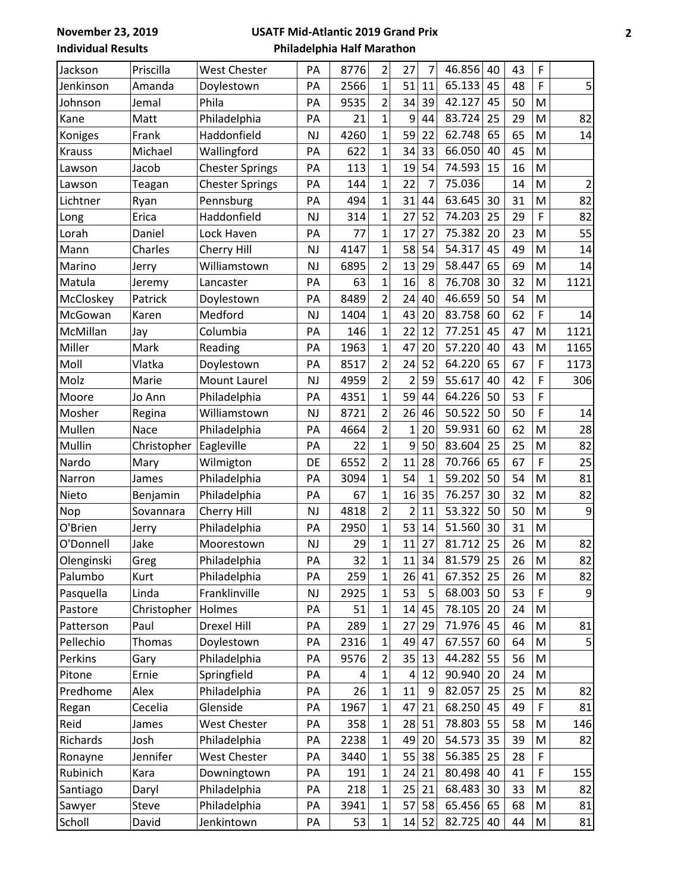**November 23, 2019 Individual Results**

## **USATF Mid-Atlantic 2019 Grand Prix Philadelphia Half Marathon**

| Jackson       | Priscilla     | West Chester           | PA        | 8776 | 2              | 27             | 7            | 46.856 | 40 | 43 | F |                |
|---------------|---------------|------------------------|-----------|------|----------------|----------------|--------------|--------|----|----|---|----------------|
| Jenkinson     | Amanda        | Doylestown             | PA        | 2566 | $\mathbf{1}$   | 51             | 11           | 65.133 | 45 | 48 | F | 5              |
| Johnson       | Jemal         | Phila                  | PA        | 9535 | $\overline{2}$ | 34             | 39           | 42.127 | 45 | 50 | M |                |
| Kane          | Matt          | Philadelphia           | PA        | 21   | $\overline{1}$ | 9              | 44           | 83.724 | 25 | 29 | M | 82             |
| Koniges       | Frank         | Haddonfield            | <b>NJ</b> | 4260 | $\overline{1}$ | 59             | 22           | 62.748 | 65 | 65 | M | 14             |
| <b>Krauss</b> | Michael       | Wallingford            | PA        | 622  | 1              | 34             | 33           | 66.050 | 40 | 45 | M |                |
| Lawson        | Jacob         | <b>Chester Springs</b> | PA        | 113  | $\overline{1}$ | 19             | 54           | 74.593 | 15 | 16 | M |                |
| Lawson        | Teagan        | <b>Chester Springs</b> | PA        | 144  | $\overline{1}$ | 22             | 7            | 75.036 |    | 14 | M | $\overline{2}$ |
| Lichtner      | Ryan          | Pennsburg              | PA        | 494  | $\mathbf{1}$   | 31             | 44           | 63.645 | 30 | 31 | M | 82             |
| Long          | Erica         | Haddonfield            | NJ        | 314  | $\overline{1}$ | 27             | 52           | 74.203 | 25 | 29 | F | 82             |
| Lorah         | Daniel        | Lock Haven             | PA        | 77   | 1              | 17             | 27           | 75.382 | 20 | 23 | M | 55             |
| Mann          | Charles       | Cherry Hill            | <b>NJ</b> | 4147 | $\overline{1}$ | 58             | 54           | 54.317 | 45 | 49 | M | 14             |
| Marino        | Jerry         | Williamstown           | <b>NJ</b> | 6895 | $\overline{2}$ | 13             | 29           | 58.447 | 65 | 69 | M | 14             |
| Matula        | Jeremy        | Lancaster              | PA        | 63   | $\overline{1}$ | 16             | 8            | 76.708 | 30 | 32 | M | 1121           |
| McCloskey     | Patrick       | Doylestown             | PA        | 8489 | $\overline{2}$ | 24             | 40           | 46.659 | 50 | 54 | M |                |
| McGowan       | Karen         | Medford                | <b>NJ</b> | 1404 | $\overline{1}$ | 43             | 20           | 83.758 | 60 | 62 | F | 14             |
| McMillan      | Jay           | Columbia               | PA        | 146  | $\overline{1}$ | 22             | 12           | 77.251 | 45 | 47 | M | 1121           |
| Miller        | Mark          | Reading                | PA        | 1963 | 1              | 47             | 20           | 57.220 | 40 | 43 | M | 1165           |
| Moll          | Vlatka        | Doylestown             | PA        | 8517 | $\overline{2}$ | 24             | 52           | 64.220 | 65 | 67 | F | 1173           |
| Molz          | Marie         | Mount Laurel           | <b>NJ</b> | 4959 | $\overline{2}$ | 2              | 59           | 55.617 | 40 | 42 | F | 306            |
| Moore         | Jo Ann        | Philadelphia           | PA        | 4351 | 1              | 59             | 44           | 64.226 | 50 | 53 | F |                |
| Mosher        | Regina        | Williamstown           | <b>NJ</b> | 8721 | $\overline{2}$ | 26             | 46           | 50.522 | 50 | 50 | F | 14             |
| Mullen        | Nace          | Philadelphia           | PA        | 4664 | $\overline{2}$ | $\mathbf 1$    | 20           | 59.931 | 60 | 62 | M | 28             |
| Mullin        | Christopher   | Eagleville             | PA        | 22   | $\overline{1}$ | 9              | 50           | 83.604 | 25 | 25 | M | 82             |
| Nardo         | Mary          | Wilmigton              | DE        | 6552 | $\overline{2}$ | 11             | 28           | 70.766 | 65 | 67 | F | 25             |
| Narron        | James         | Philadelphia           | PA        | 3094 | $\overline{1}$ | 54             | $\mathbf{1}$ | 59.202 | 50 | 54 | M | 81             |
| Nieto         | Benjamin      | Philadelphia           | PA        | 67   | $\overline{1}$ | 16             | 35           | 76.257 | 30 | 32 | M | 82             |
| Nop           | Sovannara     | Cherry Hill            | <b>NJ</b> | 4818 | $\overline{2}$ | $\overline{2}$ | 11           | 53.322 | 50 | 50 | M | 9              |
| O'Brien       | Jerry         | Philadelphia           | PA        | 2950 | $\overline{1}$ | 53             | 14           | 51.560 | 30 | 31 | M |                |
| O'Donnell     | Jake          | Moorestown             | <b>NJ</b> | 29   | $\mathbf{1}$   | 11             | 27           | 81.712 | 25 | 26 | M | 82             |
| Olenginski    | Greg          | Philadelphia           | PA        | 32   | $\mathbf 1$    | 11             | 34           | 81.579 | 25 | 26 | M | 82             |
| Palumbo       | Kurt          | Philadelphia           | PA        | 259  | $\overline{1}$ | 26             | 41           | 67.352 | 25 | 26 | M | 82             |
| Pasquella     | Linda         | Franklinville          | <b>NJ</b> | 2925 | 1              | 53             | 5            | 68.003 | 50 | 53 | F | $\overline{9}$ |
| Pastore       | Christopher   | Holmes                 | PA        | 51   | 1              | 14             | 45           | 78.105 | 20 | 24 | M |                |
| Patterson     | Paul          | Drexel Hill            | PA        | 289  | 1              | 27             | 29           | 71.976 | 45 | 46 | M | 81             |
| Pellechio     | <b>Thomas</b> | Doylestown             | PA        | 2316 | 1              | 49             | 47           | 67.557 | 60 | 64 | M | 5              |
| Perkins       | Gary          | Philadelphia           | PA        | 9576 | 2              | 35             | 13           | 44.282 | 55 | 56 | M |                |
| Pitone        | Ernie         | Springfield            | PA        | 4    | 1              | 4              | 12           | 90.940 | 20 | 24 | M |                |
| Predhome      | Alex          | Philadelphia           | PA        | 26   | 1              | 11             | 9            | 82.057 | 25 | 25 | M | 82             |
| Regan         | Cecelia       | Glenside               | PA        | 1967 | 1              | 47             | 21           | 68.250 | 45 | 49 | F | 81             |
| Reid          | James         | <b>West Chester</b>    | PA        | 358  | 1              | 28             | 51           | 78.803 | 55 | 58 | M | 146            |
| Richards      | Josh          | Philadelphia           | PA        | 2238 | 1              | 49             | 20           | 54.573 | 35 | 39 | M | 82             |
| Ronayne       | Jennifer      | <b>West Chester</b>    | PA        | 3440 | 1              | 55             | 38           | 56.385 | 25 | 28 | F |                |
| Rubinich      | Kara          | Downingtown            | PA        | 191  | 1              | 24             | 21           | 80.498 | 40 | 41 | F | 155            |
| Santiago      | Daryl         | Philadelphia           | PA        | 218  | $\overline{1}$ | 25             | 21           | 68.483 | 30 | 33 | M | 82             |
| Sawyer        | Steve         | Philadelphia           | PA        | 3941 | 1              | 57             | 58           | 65.456 | 65 | 68 | M | 81             |
| Scholl        | David         | Jenkintown             | PA        | 53   | 1              | 14             | 52           | 82.725 | 40 | 44 | M | 81             |